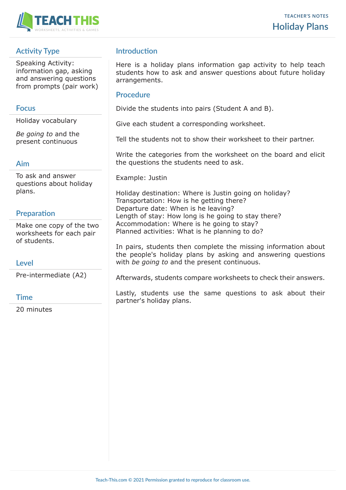

# **Activity Type**

Speaking Activity: information gap, asking and answering questions from prompts (pair work)

## **Focus**

Holiday vocabulary

*Be going to* and the present continuous

### **Aim**

To ask and answer questions about holiday plans.

# **Preparation**

Make one copy of the two worksheets for each pair of students.

# **Level**

Pre-intermediate (A2)

### **Time**

20 minutes

# **Introduction**

Here is a holiday plans information gap activity to help teach students how to ask and answer questions about future holiday arrangements.

## **Procedure**

Divide the students into pairs (Student A and B).

Give each student a corresponding worksheet.

Tell the students not to show their worksheet to their partner.

Write the categories from the worksheet on the board and elicit the questions the students need to ask.

Example: Justin

Holiday destination: Where is Justin going on holiday? Transportation: How is he getting there? Departure date: When is he leaving? Length of stay: How long is he going to stay there? Accommodation: Where is he going to stay? Planned activities: What is he planning to do?

In pairs, students then complete the missing information about the people's holiday plans by asking and answering questions with *be going to* and the present continuous.

Afterwards, students compare worksheets to check their answers.

Lastly, students use the same questions to ask about their partner's holiday plans.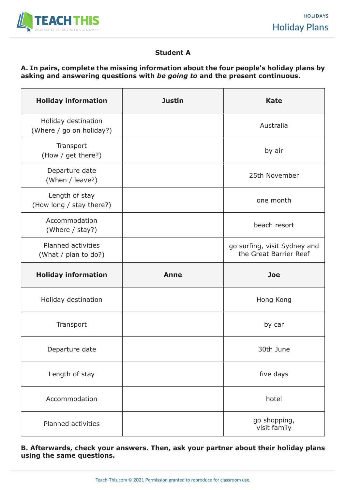

### **Student A**

### **A. In pairs, complete the missing information about the four people's holiday plans by asking and answering questions with** *be going to* **and the present continuous.**

| <b>Holiday information</b>                      | <b>Justin</b> | <b>Kate</b>                                            |
|-------------------------------------------------|---------------|--------------------------------------------------------|
| Holiday destination<br>(Where / go on holiday?) |               | Australia                                              |
| Transport<br>(How / get there?)                 |               | by air                                                 |
| Departure date<br>(When / leave?)               |               | 25th November                                          |
| Length of stay<br>(How long / stay there?)      |               | one month                                              |
| Accommodation<br>(Where / stay?)                |               | beach resort                                           |
| Planned activities<br>(What / plan to do?)      |               | go surfing, visit Sydney and<br>the Great Barrier Reef |
|                                                 |               |                                                        |
| <b>Holiday information</b>                      | <b>Anne</b>   | <b>Joe</b>                                             |
| Holiday destination                             |               | Hong Kong                                              |
| Transport                                       |               | by car                                                 |
| Departure date                                  |               | 30th June                                              |
| Length of stay                                  |               | five days                                              |
| Accommodation                                   |               | hotel                                                  |

**B. Afterwards, check your answers. Then, ask your partner about their holiday plans using the same questions.**